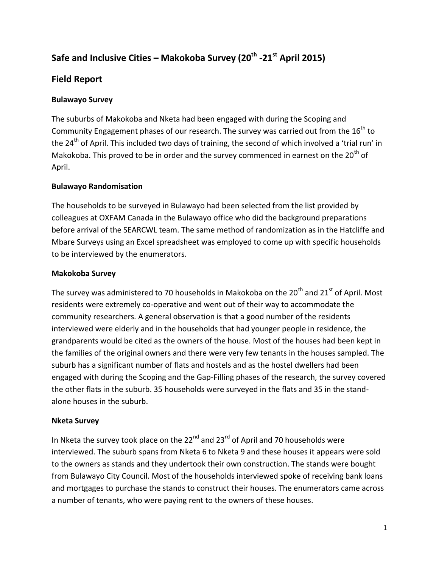# **Safe and Inclusive Cities – Makokoba Survey (20th -21st April 2015)**

### **Field Report**

#### **Bulawayo Survey**

The suburbs of Makokoba and Nketa had been engaged with during the Scoping and Community Engagement phases of our research. The survey was carried out from the 16<sup>th</sup> to the 24<sup>th</sup> of April. This included two days of training, the second of which involved a 'trial run' in Makokoba. This proved to be in order and the survey commenced in earnest on the  $20<sup>th</sup>$  of April.

#### **Bulawayo Randomisation**

The households to be surveyed in Bulawayo had been selected from the list provided by colleagues at OXFAM Canada in the Bulawayo office who did the background preparations before arrival of the SEARCWL team. The same method of randomization as in the Hatcliffe and Mbare Surveys using an Excel spreadsheet was employed to come up with specific households to be interviewed by the enumerators.

#### **Makokoba Survey**

The survey was administered to 70 households in Makokoba on the  $20<sup>th</sup>$  and  $21<sup>st</sup>$  of April. Most residents were extremely co-operative and went out of their way to accommodate the community researchers. A general observation is that a good number of the residents interviewed were elderly and in the households that had younger people in residence, the grandparents would be cited as the owners of the house. Most of the houses had been kept in the families of the original owners and there were very few tenants in the houses sampled. The suburb has a significant number of flats and hostels and as the hostel dwellers had been engaged with during the Scoping and the Gap-Filling phases of the research, the survey covered the other flats in the suburb. 35 households were surveyed in the flats and 35 in the standalone houses in the suburb.

#### **Nketa Survey**

In Nketa the survey took place on the  $22^{nd}$  and  $23^{rd}$  of April and 70 households were interviewed. The suburb spans from Nketa 6 to Nketa 9 and these houses it appears were sold to the owners as stands and they undertook their own construction. The stands were bought from Bulawayo City Council. Most of the households interviewed spoke of receiving bank loans and mortgages to purchase the stands to construct their houses. The enumerators came across a number of tenants, who were paying rent to the owners of these houses.